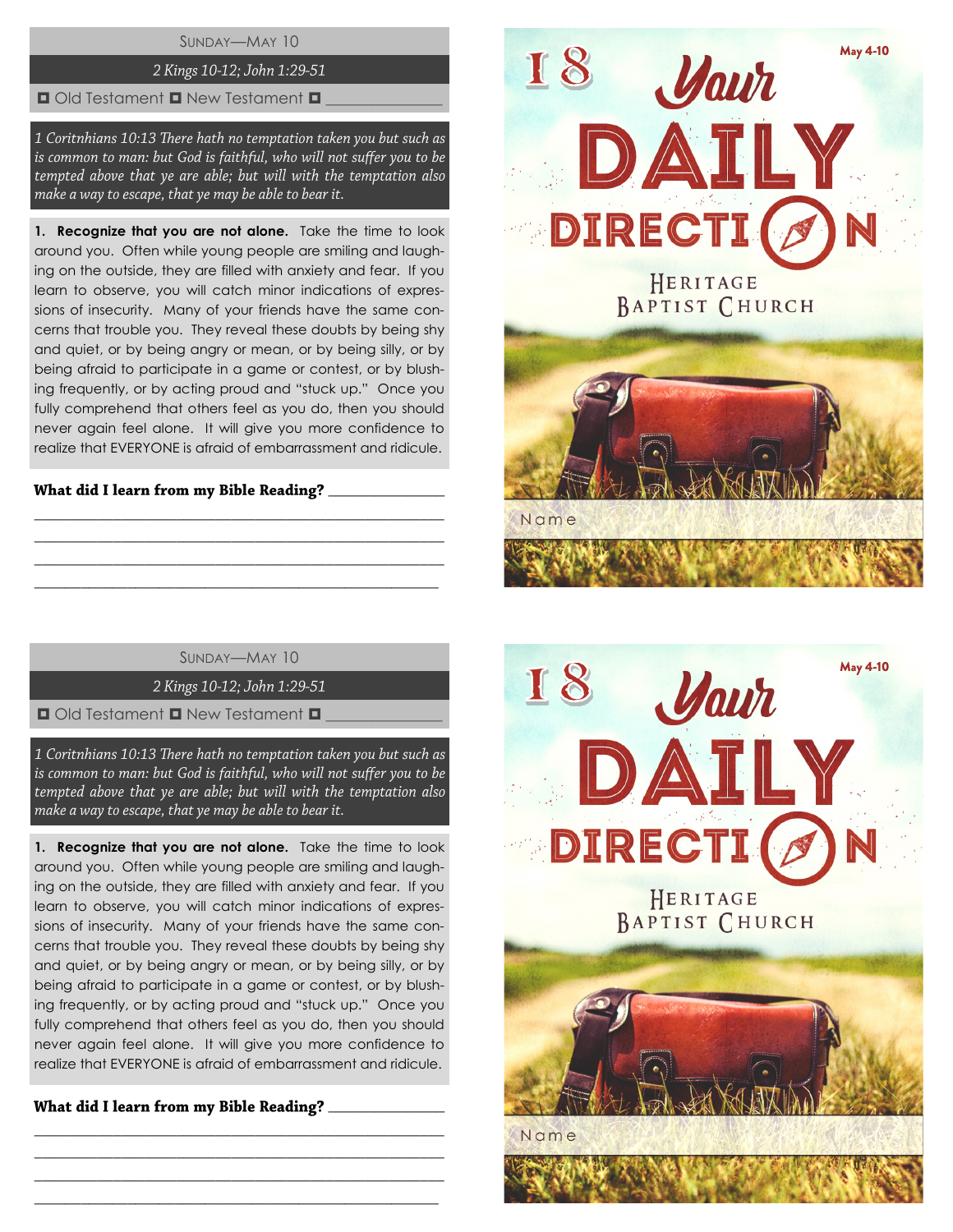# SUNDAY—MAY 10

# 2 Kings 10-12; John 1:29-51

#### $\Box$  Old Testament  $\Box$  New Testament  $\Box$

1 Coritnhians 10:13 There hath no temptation taken you but such as is common to man: but God is faithful, who will not suffer you to be tempted above that ye are able; but will with the temptation also make a way to escape, that ye may be able to bear it.

1. Recognize that you are not alone. Take the time to look around you. Often while young people are smiling and laughing on the outside, they are filled with anxiety and fear. If you learn to observe, you will catch minor indications of expressions of insecurity. Many of your friends have the same concerns that trouble you. They reveal these doubts by being shy and quiet, or by being angry or mean, or by being silly, or by being afraid to participate in a game or contest, or by blushing frequently, or by acting proud and "stuck up." Once you fully comprehend that others feel as you do, then you should never again feel alone. It will give you more confidence to realize that EVERYONE is afraid of embarrassment and ridicule.

# \_\_\_\_\_\_\_\_\_\_\_\_\_\_\_

SUNDAY—MAY 10

\_\_\_\_\_\_\_\_\_\_\_\_\_\_\_\_\_\_\_\_\_\_\_\_\_\_\_\_\_\_\_\_\_\_\_\_\_\_\_\_\_\_\_\_\_\_\_\_\_\_\_\_ \_\_\_\_\_\_\_\_\_\_\_\_\_\_\_\_\_\_\_\_\_\_\_\_\_\_\_\_\_\_\_\_\_\_\_\_\_\_\_\_\_\_\_\_\_\_\_\_\_\_\_\_ \_\_\_\_\_\_\_\_\_\_\_\_\_\_\_\_\_\_\_\_\_\_\_\_\_\_\_\_\_\_\_\_\_\_\_\_\_\_\_\_\_\_\_\_\_\_\_\_\_\_\_\_ \_\_\_\_\_\_\_\_\_\_\_\_\_\_\_\_\_\_\_\_\_\_\_\_\_\_\_\_\_\_\_\_\_\_\_\_\_\_\_\_\_\_\_\_\_\_\_\_\_\_\_\_

2 Kings 10-12; John 1:29-51

 $\Box$  Old Testament  $\Box$  New Testament  $\Box$ 

1 Coritnhians 10:13 There hath no temptation taken you but such as is common to man: but God is faithful, who will not suffer you to be tempted above that ye are able; but will with the temptation also make a way to escape, that ye may be able to bear it.

**1. Recognize that you are not alone.** Take the time to look around you. Often while young people are smiling and laughing on the outside, they are filled with anxiety and fear. If you learn to observe, you will catch minor indications of expressions of insecurity. Many of your friends have the same concerns that trouble you. They reveal these doubts by being shy and quiet, or by being angry or mean, or by being silly, or by being afraid to participate in a game or contest, or by blushing frequently, or by acting proud and "stuck up." Once you fully comprehend that others feel as you do, then you should never again feel alone. It will give you more confidence to realize that EVERYONE is afraid of embarrassment and ridicule.

\_\_\_\_\_\_\_\_\_\_\_\_\_\_\_\_\_\_\_\_\_\_\_\_\_\_\_\_\_\_\_\_\_\_\_\_\_\_\_\_\_\_\_\_\_\_\_\_\_\_\_\_ \_\_\_\_\_\_\_\_\_\_\_\_\_\_\_\_\_\_\_\_\_\_\_\_\_\_\_\_\_\_\_\_\_\_\_\_\_\_\_\_\_\_\_\_\_\_\_\_\_\_\_\_ \_\_\_\_\_\_\_\_\_\_\_\_\_\_\_\_\_\_\_\_\_\_\_\_\_\_\_\_\_\_\_\_\_\_\_\_\_\_\_\_\_\_\_\_\_\_\_\_\_\_\_\_ \_\_\_\_\_\_\_\_\_\_\_\_\_\_\_\_\_\_\_\_\_\_\_\_\_\_\_\_\_\_\_\_\_\_\_\_\_\_\_\_\_\_\_\_\_\_\_\_\_\_\_\_

\_\_\_\_\_\_\_\_\_\_\_\_\_\_\_



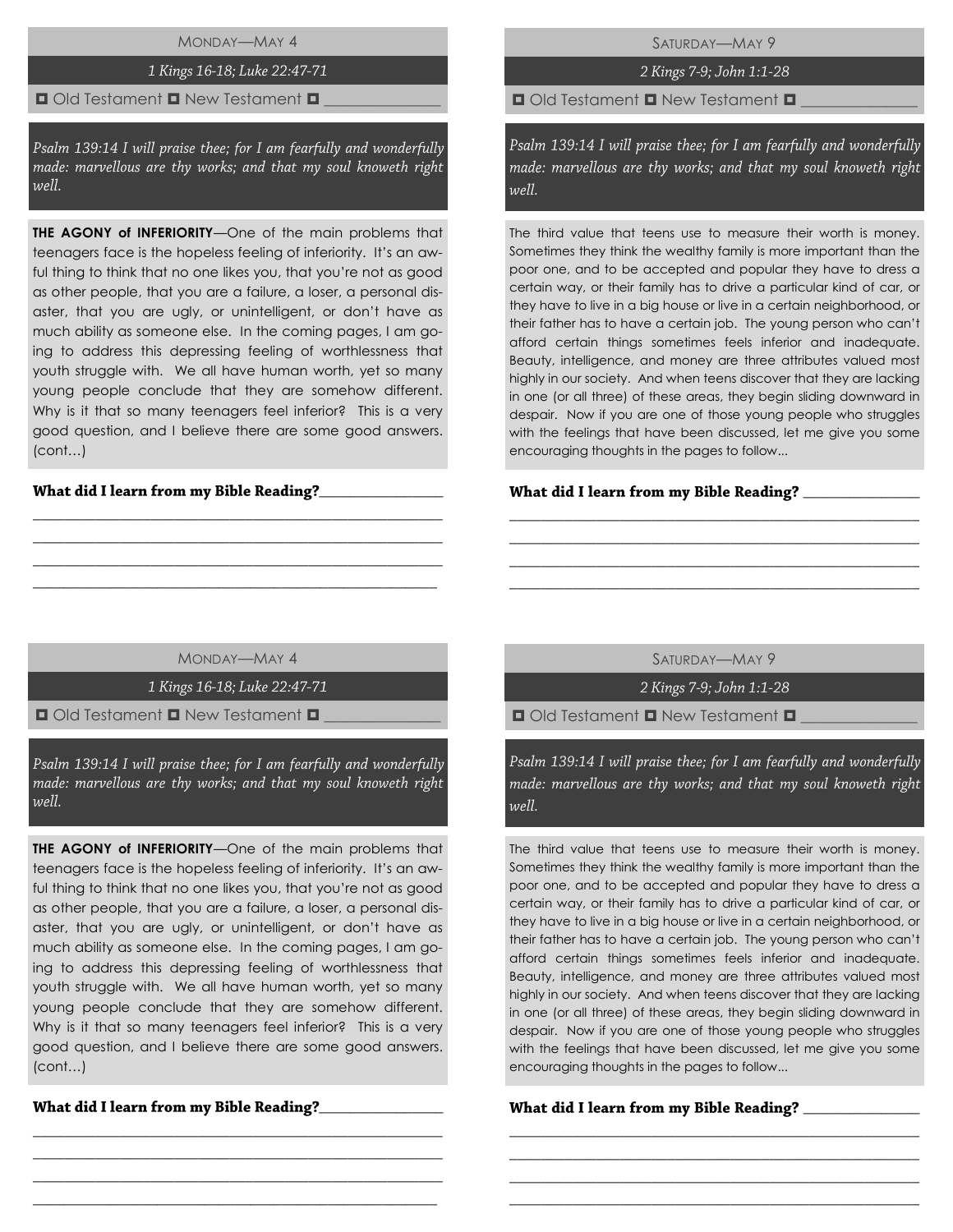MONDAY—MAY 4

# 1 Kings 16-18; Luke 22:47-71

### $\Box$  Old Testament  $\Box$  New Testament  $\Box$

Psalm 139:14 I will praise thee; for I am fearfully and wonderfully made: marvellous are thy works; and that my soul knoweth right well.

**THE AGONY of INFERIORITY**—One of the main problems that teenagers face is the hopeless feeling of inferiority. It's an awful thing to think that no one likes you, that you're not as good as other people, that you are a failure, a loser, a personal disaster, that you are ugly, or unintelligent, or don't have as much ability as someone else. In the coming pages, I am going to address this depressing feeling of worthlessness that youth struggle with. We all have human worth, yet so many young people conclude that they are somehow different. Why is it that so many teenagers feel inferior? This is a very good question, and I believe there are some good answers. (cont…)

# $\frac{1}{2}$

SATURDAY—MAY 9

2 Kings 7-9; John 1:1-28

 $\Box$  Old Testament  $\Box$  New Testament  $\Box$ 

Psalm 139:14 I will praise thee; for I am fearfully and wonderfully made: marvellous are thy works; and that my soul knoweth right well.

The third value that teens use to measure their worth is money. Sometimes they think the wealthy family is more important than the poor one, and to be accepted and popular they have to dress a certain way, or their family has to drive a particular kind of car, or they have to live in a big house or live in a certain neighborhood, or their father has to have a certain job. The young person who can't afford certain things sometimes feels inferior and inadequate. Beauty, intelligence, and money are three attributes valued most highly in our society. And when teens discover that they are lacking in one (or all three) of these areas, they begin sliding downward in despair. Now if you are one of those young people who struggles with the feelings that have been discussed, let me give you some encouraging thoughts in the pages to follow...

#### What did I learn from my Bible Reading? \_\_\_\_

MONDAY—MAY 4

\_\_\_\_\_\_\_\_\_\_\_\_\_\_\_\_\_\_\_\_\_\_\_\_\_\_\_\_\_\_\_\_\_\_\_\_\_\_\_\_\_\_\_\_\_\_\_\_\_\_\_\_ \_\_\_\_\_\_\_\_\_\_\_\_\_\_\_\_\_\_\_\_\_\_\_\_\_\_\_\_\_\_\_\_\_\_\_\_\_\_\_\_\_\_\_\_\_\_\_\_\_\_\_\_ \_\_\_\_\_\_\_\_\_\_\_\_\_\_\_\_\_\_\_\_\_\_\_\_\_\_\_\_\_\_\_\_\_\_\_\_\_\_\_\_\_\_\_\_\_\_\_\_\_\_\_\_ \_\_\_\_\_\_\_\_\_\_\_\_\_\_\_\_\_\_\_\_\_\_\_\_\_\_\_\_\_\_\_\_\_\_\_\_\_\_\_\_\_\_\_\_\_\_\_\_\_\_\_\_

1 Kings 16-18; Luke 22:47-71

 $\Box$  Old Testament  $\Box$  New Testament  $\Box$ 

Psalm 139:14 I will praise thee; for I am fearfully and wonderfully made: marvellous are thy works; and that my soul knoweth right  $1/2$ 

**THE AGONY of INFERIORITY**—One of the main problems that teenagers face is the hopeless feeling of inferiority. It's an awful thing to think that no one likes you, that you're not as good as other people, that you are a failure, a loser, a personal disaster, that you are ugly, or unintelligent, or don't have as much ability as someone else. In the coming pages, I am going to address this depressing feeling of worthlessness that youth struggle with. We all have human worth, yet so many young people conclude that they are somehow different. Why is it that so many teenagers feel inferior? This is a very good question, and I believe there are some good answers. (cont…)

\_\_\_\_\_\_\_\_\_\_\_\_\_\_\_\_\_\_\_\_\_\_\_\_\_\_\_\_\_\_\_\_\_\_\_\_\_\_\_\_\_\_\_\_\_\_\_\_\_\_\_\_ \_\_\_\_\_\_\_\_\_\_\_\_\_\_\_\_\_\_\_\_\_\_\_\_\_\_\_\_\_\_\_\_\_\_\_\_\_\_\_\_\_\_\_\_\_\_\_\_\_\_\_\_ \_\_\_\_\_\_\_\_\_\_\_\_\_\_\_\_\_\_\_\_\_\_\_\_\_\_\_\_\_\_\_\_\_\_\_\_\_\_\_\_\_\_\_\_\_\_\_\_\_\_\_\_ \_\_\_\_\_\_\_\_\_\_\_\_\_\_\_\_\_\_\_\_\_\_\_\_\_\_\_\_\_\_\_\_\_\_\_\_\_\_\_\_\_\_\_\_\_\_\_\_\_\_\_\_

What did I learn from my Bible Reading?\_\_\_

SATURDAY—MAY 9

\_\_\_\_\_\_\_\_\_\_\_\_\_\_\_\_\_\_\_\_\_\_\_\_\_\_\_\_\_\_\_\_\_\_\_\_\_\_\_\_\_\_\_\_\_\_\_\_\_\_\_\_ \_\_\_\_\_\_\_\_\_\_\_\_\_\_\_\_\_\_\_\_\_\_\_\_\_\_\_\_\_\_\_\_\_\_\_\_\_\_\_\_\_\_\_\_\_\_\_\_\_\_\_\_ \_\_\_\_\_\_\_\_\_\_\_\_\_\_\_\_\_\_\_\_\_\_\_\_\_\_\_\_\_\_\_\_\_\_\_\_\_\_\_\_\_\_\_\_\_\_\_\_\_\_\_\_ \_\_\_\_\_\_\_\_\_\_\_\_\_\_\_\_\_\_\_\_\_\_\_\_\_\_\_\_\_\_\_\_\_\_\_\_\_\_\_\_\_\_\_\_\_\_\_\_\_\_\_\_

2 Kings 7-9; John 1:1-28

 $\Box$  Old Testament  $\Box$  New Testament  $\Box$ 

Psalm 139:14 I will praise thee; for I am fearfully and wonderfully made: marvellous are thy works; and that my soul knoweth right well.

The third value that teens use to measure their worth is money. Sometimes they think the wealthy family is more important than the poor one, and to be accepted and popular they have to dress a certain way, or their family has to drive a particular kind of car, or they have to live in a big house or live in a certain neighborhood, or their father has to have a certain job. The young person who can't afford certain things sometimes feels inferior and inadequate. Beauty, intelligence, and money are three attributes valued most highly in our society. And when teens discover that they are lacking in one (or all three) of these areas, they begin sliding downward in despair. Now if you are one of those young people who struggles with the feelings that have been discussed, let me give you some encouraging thoughts in the pages to follow...

\_\_\_\_\_\_\_\_\_\_\_\_\_\_\_\_\_\_\_\_\_\_\_\_\_\_\_\_\_\_\_\_\_\_\_\_\_\_\_\_\_\_\_\_\_\_\_\_\_\_\_\_ \_\_\_\_\_\_\_\_\_\_\_\_\_\_\_\_\_\_\_\_\_\_\_\_\_\_\_\_\_\_\_\_\_\_\_\_\_\_\_\_\_\_\_\_\_\_\_\_\_\_\_\_ \_\_\_\_\_\_\_\_\_\_\_\_\_\_\_\_\_\_\_\_\_\_\_\_\_\_\_\_\_\_\_\_\_\_\_\_\_\_\_\_\_\_\_\_\_\_\_\_\_\_\_\_ \_\_\_\_\_\_\_\_\_\_\_\_\_\_\_\_\_\_\_\_\_\_\_\_\_\_\_\_\_\_\_\_\_\_\_\_\_\_\_\_\_\_\_\_\_\_\_\_\_\_\_\_

#### What did I learn from my Bible Reading? \_\_\_\_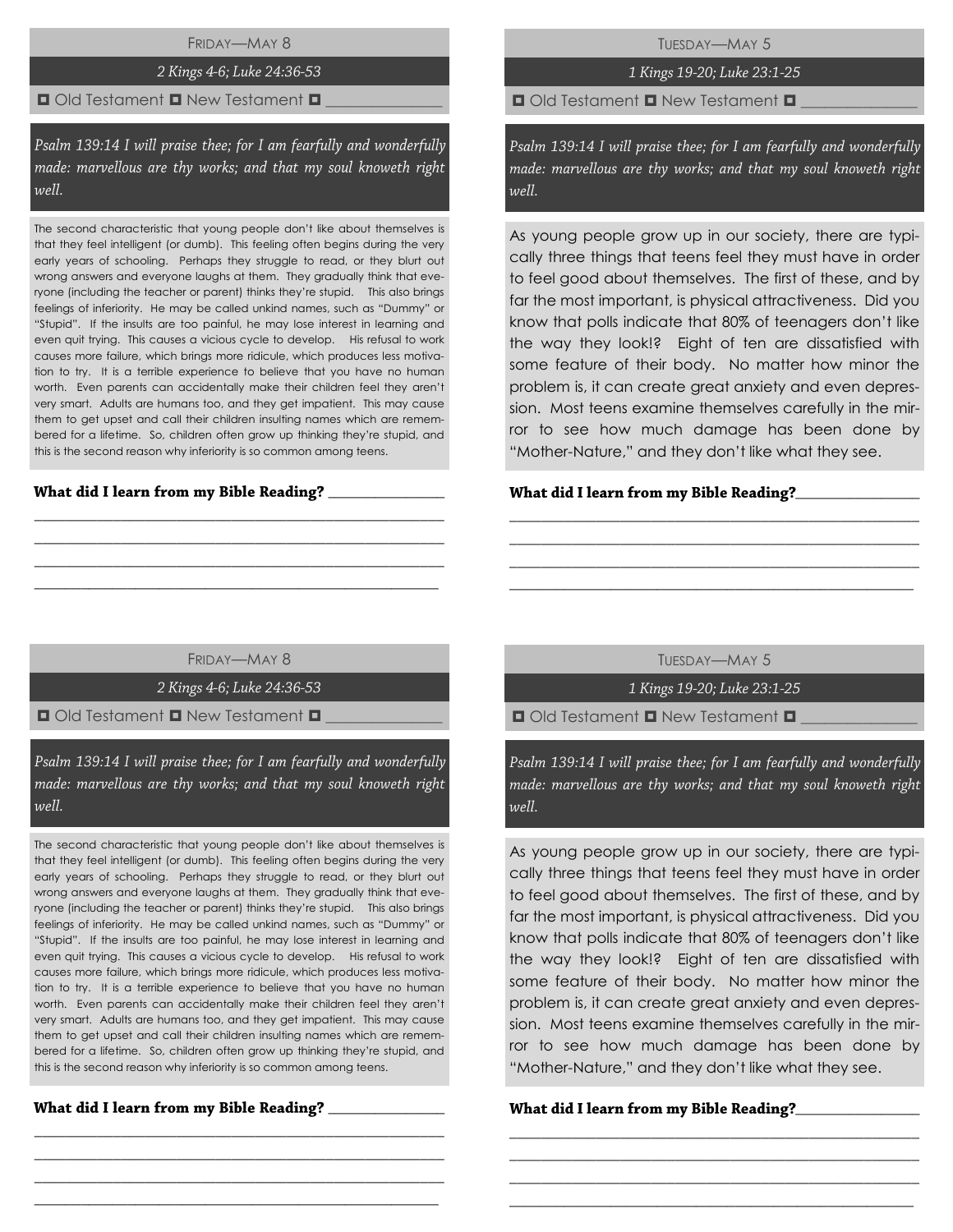FRIDAY—MAY 8

# 2 Kings 4-6; Luke 24:36-53

# $\blacksquare$  Old Testament  $\blacksquare$  New Testament  $\blacksquare$

Psalm 139:14 I will praise thee; for I am fearfully and wonderfully made: marvellous are thy works; and that my soul knoweth right well.

The second characteristic that young people don't like about themselves is that they feel intelligent (or dumb). This feeling often begins during the very early years of schooling. Perhaps they struggle to read, or they blurt out wrong answers and everyone laughs at them. They gradually think that everyone (including the teacher or parent) thinks they're stupid. This also brings feelings of inferiority. He may be called unkind names, such as "Dummy" or "Stupid". If the insults are too painful, he may lose interest in learning and even quit trying. This causes a vicious cycle to develop. His refusal to work causes more failure, which brings more ridicule, which produces less motivation to try. It is a terrible experience to believe that you have no human worth. Even parents can accidentally make their children feel they aren't very smart. Adults are humans too, and they get impatient. This may cause them to get upset and call their children insulting names which are remembered for a lifetime. So, children often grow up thinking they're stupid, and this is the second reason why inferiority is so common among teens.

 $\overline{\phantom{a}}$  ,  $\overline{\phantom{a}}$  ,  $\overline{\phantom{a}}$  ,  $\overline{\phantom{a}}$  ,  $\overline{\phantom{a}}$  ,  $\overline{\phantom{a}}$  ,  $\overline{\phantom{a}}$  ,  $\overline{\phantom{a}}$  ,  $\overline{\phantom{a}}$  ,  $\overline{\phantom{a}}$  ,  $\overline{\phantom{a}}$  ,  $\overline{\phantom{a}}$  ,  $\overline{\phantom{a}}$  ,  $\overline{\phantom{a}}$  ,  $\overline{\phantom{a}}$  ,  $\overline{\phantom{a}}$ 

 $\overline{\phantom{a}}$  ,  $\overline{\phantom{a}}$  ,  $\overline{\phantom{a}}$  ,  $\overline{\phantom{a}}$  ,  $\overline{\phantom{a}}$  ,  $\overline{\phantom{a}}$  ,  $\overline{\phantom{a}}$  ,  $\overline{\phantom{a}}$  ,  $\overline{\phantom{a}}$  ,  $\overline{\phantom{a}}$  ,  $\overline{\phantom{a}}$  ,  $\overline{\phantom{a}}$  ,  $\overline{\phantom{a}}$  ,  $\overline{\phantom{a}}$  ,  $\overline{\phantom{a}}$  ,  $\overline{\phantom{a}}$ 

TUESDAY—MAY 5

# 1 Kings 19-20; Luke 23:1-25

 $\Box$  Old Testament  $\Box$  New Testament  $\Box$ 

Psalm 139:14 I will praise thee; for I am fearfully and wonderfully made: marvellous are thy works; and that my soul knoweth right well.

As young people grow up in our society, there are typically three things that teens feel they must have in order to feel good about themselves. The first of these, and by far the most important, is physical attractiveness. Did you know that polls indicate that 80% of teenagers don't like the way they look!? Eight of ten are dissatisfied with some feature of their body. No matter how minor the problem is, it can create great anxiety and even depression. Most teens examine themselves carefully in the mirror to see how much damage has been done by "Mother-Nature," and they don't like what they see.

# **\_**\_\_\_\_\_\_\_\_\_\_\_\_\_\_\_

FRIDAY—MAY 8

\_\_\_\_\_\_\_\_\_\_\_\_\_\_\_\_\_\_\_\_\_\_\_\_\_\_\_\_\_\_\_\_\_\_\_\_\_\_\_\_\_\_\_\_\_\_\_\_\_\_\_\_ \_\_\_\_\_\_\_\_\_\_\_\_\_\_\_\_\_\_\_\_\_\_\_\_\_\_\_\_\_\_\_\_\_\_\_\_\_\_\_\_\_\_\_\_\_\_\_\_\_\_\_\_ \_\_\_\_\_\_\_\_\_\_\_\_\_\_\_\_\_\_\_\_\_\_\_\_\_\_\_\_\_\_\_\_\_\_\_\_\_\_\_\_\_\_\_\_\_\_\_\_\_\_\_\_ \_\_\_\_\_\_\_\_\_\_\_\_\_\_\_\_\_\_\_\_\_\_\_\_\_\_\_\_\_\_\_\_\_\_\_\_\_\_\_\_\_\_\_\_\_\_\_\_\_\_\_\_

2 Kings 4-6; Luke 24:36-53

 $\blacksquare$  Old Testament  $\blacksquare$  New Testament  $\blacksquare$ 

Psalm 139:14 I will praise thee; for I am fearfully and wonderfully made: marvellous are thy works; and that my soul knoweth right well.

The second characteristic that young people don't like about themselves is that they feel intelligent (or dumb). This feeling often begins during the very early years of schooling. Perhaps they struggle to read, or they blurt out wrong answers and everyone laughs at them. They gradually think that everyone (including the teacher or parent) thinks they're stupid. This also brings feelings of inferiority. He may be called unkind names, such as "Dummy" or "Stupid". If the insults are too painful, he may lose interest in learning and even quit trying. This causes a vicious cycle to develop. His refusal to work causes more failure, which brings more ridicule, which produces less motivation to try. It is a terrible experience to believe that you have no human worth. Even parents can accidentally make their children feel they aren't very smart. Adults are humans too, and they get impatient. This may cause them to get upset and call their children insulting names which are remembered for a lifetime. So, children often grow up thinking they're stupid, and this is the second reason why inferiority is so common among teens.

\_\_\_\_\_\_\_\_\_\_\_\_\_\_\_\_\_\_\_\_\_\_\_\_\_\_\_\_\_\_\_\_\_\_\_\_\_\_\_\_\_\_\_\_\_\_\_\_\_\_\_\_ \_\_\_\_\_\_\_\_\_\_\_\_\_\_\_\_\_\_\_\_\_\_\_\_\_\_\_\_\_\_\_\_\_\_\_\_\_\_\_\_\_\_\_\_\_\_\_\_\_\_\_\_ \_\_\_\_\_\_\_\_\_\_\_\_\_\_\_\_\_\_\_\_\_\_\_\_\_\_\_\_\_\_\_\_\_\_\_\_\_\_\_\_\_\_\_\_\_\_\_\_\_\_\_\_ \_\_\_\_\_\_\_\_\_\_\_\_\_\_\_\_\_\_\_\_\_\_\_\_\_\_\_\_\_\_\_\_\_\_\_\_\_\_\_\_\_\_\_\_\_\_\_\_\_\_\_\_

TUESDAY—MAY 5

\_\_\_\_\_\_\_\_\_\_\_\_\_\_\_\_\_\_\_\_\_\_\_\_\_\_\_\_\_\_\_\_\_\_\_\_\_\_\_\_\_\_\_\_\_\_\_\_\_\_\_\_ \_\_\_\_\_\_\_\_\_\_\_\_\_\_\_\_\_\_\_\_\_\_\_\_\_\_\_\_\_\_\_\_\_\_\_\_\_\_\_\_\_\_\_\_\_\_\_\_\_\_\_\_ \_\_\_\_\_\_\_\_\_\_\_\_\_\_\_\_\_\_\_\_\_\_\_\_\_\_\_\_\_\_\_\_\_\_\_\_\_\_\_\_\_\_\_\_\_\_\_\_\_\_\_\_ \_\_\_\_\_\_\_\_\_\_\_\_\_\_\_\_\_\_\_\_\_\_\_\_\_\_\_\_\_\_\_\_\_\_\_\_\_\_\_\_\_\_\_\_\_\_\_\_\_\_\_\_

1 Kings 19-20; Luke 23:1-25

 $\Box$  Old Testament  $\Box$  New Testament  $\Box$ 

Psalm 139:14 I will praise thee; for I am fearfully and wonderfully made: marvellous are thy works; and that my soul knoweth right well.

As young people grow up in our society, there are typically three things that teens feel they must have in order to feel good about themselves. The first of these, and by far the most important, is physical attractiveness. Did you know that polls indicate that 80% of teenagers don't like the way they look!? Eight of ten are dissatisfied with some feature of their body. No matter how minor the problem is, it can create great anxiety and even depression. Most teens examine themselves carefully in the mirror to see how much damage has been done by "Mother-Nature," and they don't like what they see.

\_\_\_\_\_\_\_\_\_\_\_\_\_\_\_\_\_\_\_\_\_\_\_\_\_\_\_\_\_\_\_\_\_\_\_\_\_\_\_\_\_\_\_\_\_\_\_\_\_\_\_\_ \_\_\_\_\_\_\_\_\_\_\_\_\_\_\_\_\_\_\_\_\_\_\_\_\_\_\_\_\_\_\_\_\_\_\_\_\_\_\_\_\_\_\_\_\_\_\_\_\_\_\_\_ \_\_\_\_\_\_\_\_\_\_\_\_\_\_\_\_\_\_\_\_\_\_\_\_\_\_\_\_\_\_\_\_\_\_\_\_\_\_\_\_\_\_\_\_\_\_\_\_\_\_\_\_ \_\_\_\_\_\_\_\_\_\_\_\_\_\_\_\_\_\_\_\_\_\_\_\_\_\_\_\_\_\_\_\_\_\_\_\_\_\_\_\_\_\_\_\_\_\_\_\_\_\_\_\_

# **\_**\_\_\_\_\_\_\_\_\_\_\_\_\_\_\_